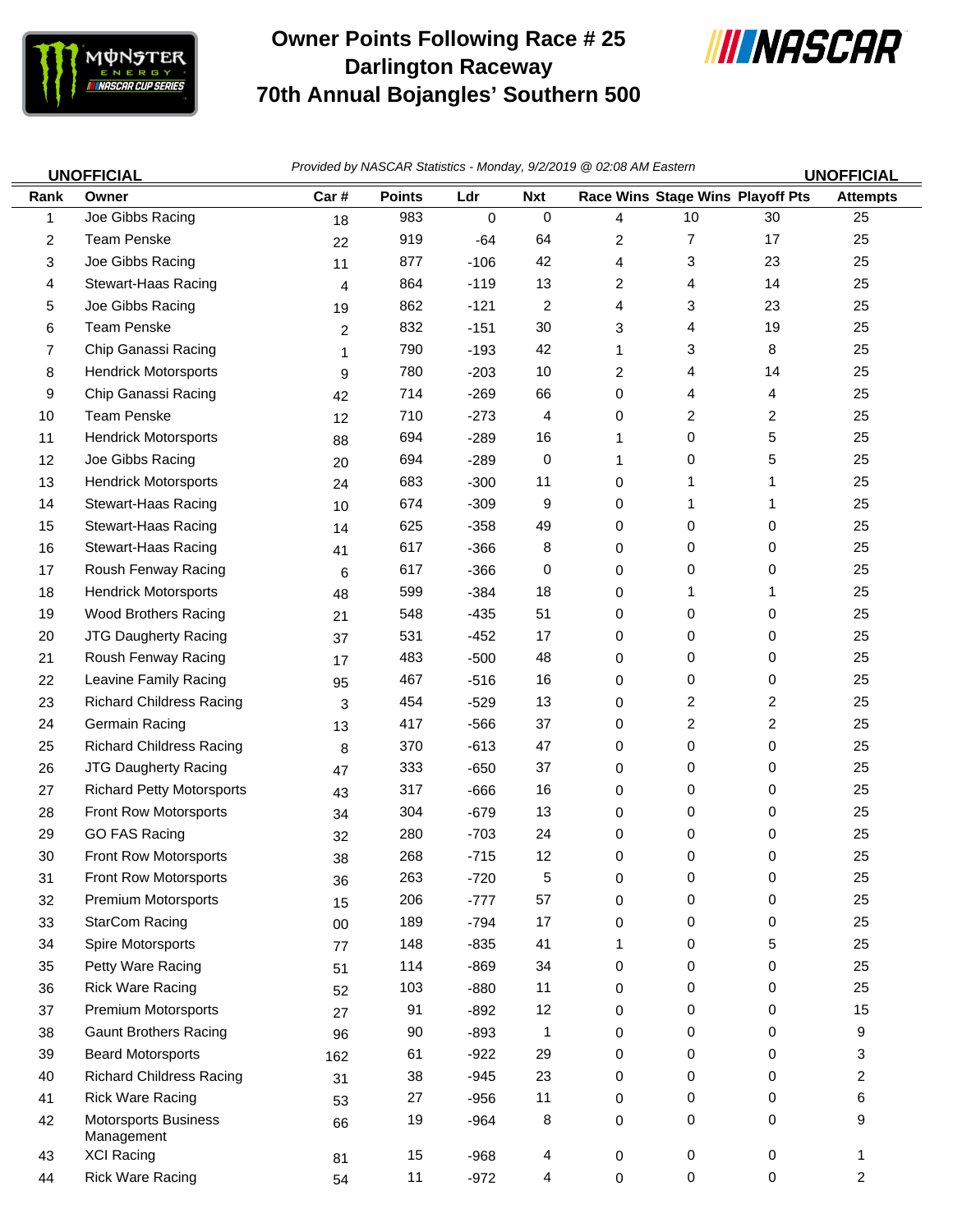

## **Owner Points Following Race # 25 Darlington Raceway 70th Annual Bojangles' Southern 500**



|      | <b>UNOFFICIAL</b>                  | Provided by NASCAR Statistics - Monday, 9/2/2019 @ 02:08 AM Eastern<br><b>UNOFFICIAL</b> |               |             |            |    |                                         |    |                 |
|------|------------------------------------|------------------------------------------------------------------------------------------|---------------|-------------|------------|----|-----------------------------------------|----|-----------------|
| Rank | Owner                              | Car#                                                                                     | <b>Points</b> | Ldr         | <b>Nxt</b> |    | <b>Race Wins Stage Wins Playoff Pts</b> |    | <b>Attempts</b> |
| 1    | Joe Gibbs Racing                   | 18                                                                                       | 983           | $\mathbf 0$ | 0          | 4  | $10$                                    | 30 | 25              |
| 2    | <b>Team Penske</b>                 | 22                                                                                       | 919           | $-64$       | 64         | 2  | 7                                       | 17 | 25              |
| 3    | Joe Gibbs Racing                   | 11                                                                                       | 877           | $-106$      | 42         | 4  | 3                                       | 23 | 25              |
| 4    | Stewart-Haas Racing                | 4                                                                                        | 864           | $-119$      | 13         | 2  | 4                                       | 14 | 25              |
| 5    | Joe Gibbs Racing                   | 19                                                                                       | 862           | $-121$      | 2          | 4  | 3                                       | 23 | 25              |
| 6    | <b>Team Penske</b>                 | 2                                                                                        | 832           | $-151$      | 30         | 3  | 4                                       | 19 | 25              |
| 7    | Chip Ganassi Racing                | 1                                                                                        | 790           | $-193$      | 42         | 1  | 3                                       | 8  | 25              |
| 8    | <b>Hendrick Motorsports</b>        | 9                                                                                        | 780           | $-203$      | $10$       | 2  | 4                                       | 14 | 25              |
| 9    | Chip Ganassi Racing                | 42                                                                                       | 714           | $-269$      | 66         | 0  | 4                                       | 4  | 25              |
| 10   | <b>Team Penske</b>                 | 12                                                                                       | 710           | $-273$      | 4          | 0  | 2                                       | 2  | 25              |
| 11   | <b>Hendrick Motorsports</b>        | 88                                                                                       | 694           | $-289$      | 16         | 1. | 0                                       | 5  | 25              |
| 12   | Joe Gibbs Racing                   | 20                                                                                       | 694           | $-289$      | 0          | 1  | 0                                       | 5  | 25              |
| 13   | <b>Hendrick Motorsports</b>        | 24                                                                                       | 683           | $-300$      | 11         | 0  | 1                                       | 1  | 25              |
| 14   | Stewart-Haas Racing                | 10                                                                                       | 674           | $-309$      | 9          | 0  | 1                                       | 1  | 25              |
| 15   | Stewart-Haas Racing                | 14                                                                                       | 625           | $-358$      | 49         | 0  | 0                                       | 0  | 25              |
| 16   | Stewart-Haas Racing                | 41                                                                                       | 617           | $-366$      | 8          | 0  | 0                                       | 0  | 25              |
| 17   | Roush Fenway Racing                | 6                                                                                        | 617           | $-366$      | 0          | 0  | 0                                       | 0  | 25              |
| 18   | <b>Hendrick Motorsports</b>        | 48                                                                                       | 599           | $-384$      | 18         | 0  | 1                                       | 1  | 25              |
| 19   | Wood Brothers Racing               | 21                                                                                       | 548           | $-435$      | 51         | 0  | 0                                       | 0  | 25              |
| 20   | JTG Daugherty Racing               | 37                                                                                       | 531           | $-452$      | 17         | 0  | 0                                       | 0  | 25              |
| 21   | Roush Fenway Racing                | 17                                                                                       | 483           | $-500$      | 48         | 0  | 0                                       | 0  | 25              |
| 22   | Leavine Family Racing              | 95                                                                                       | 467           | $-516$      | 16         | 0  | 0                                       | 0  | 25              |
| 23   | <b>Richard Childress Racing</b>    | 3                                                                                        | 454           | $-529$      | 13         | 0  | 2                                       | 2  | 25              |
| 24   | Germain Racing                     | 13                                                                                       | 417           | $-566$      | 37         | 0  | 2                                       | 2  | 25              |
| 25   | <b>Richard Childress Racing</b>    | 8                                                                                        | 370           | $-613$      | 47         | 0  | 0                                       | 0  | 25              |
| 26   | JTG Daugherty Racing               | 47                                                                                       | 333           | $-650$      | 37         | 0  | 0                                       | 0  | 25              |
| 27   | <b>Richard Petty Motorsports</b>   | 43                                                                                       | 317           | $-666$      | 16         | 0  | 0                                       | 0  | 25              |
| 28   | Front Row Motorsports              | 34                                                                                       | 304           | $-679$      | 13         | 0  | 0                                       | 0  | 25              |
| 29   | <b>GO FAS Racing</b>               | 32                                                                                       | 280           | $-703$      | 24         | 0  | 0                                       | 0  | 25              |
| 30   | <b>Front Row Motorsports</b>       | 38                                                                                       | 268           | $-715$      | 12         | 0  | 0                                       | 0  | 25              |
| 31   | Front Row Motorsports              | 36                                                                                       | 263           | $-720$      | 5          | 0  | 0                                       | 0  | 25              |
| 32   | Premium Motorsports                | 15                                                                                       | 206           | $-777$      | 57         | 0  | 0                                       | 0  | 25              |
| 33   | <b>StarCom Racing</b>              | 00                                                                                       | 189           | $-794$      | 17         | 0  | 0                                       | 0  | 25              |
| 34   | Spire Motorsports                  | 77                                                                                       | 148           | $-835$      | 41         |    | 0                                       | 5  | 25              |
| 35   | Petty Ware Racing                  | 51                                                                                       | 114           | $-869$      | 34         | 0  | 0                                       | 0  | 25              |
| 36   | <b>Rick Ware Racing</b>            | 52                                                                                       | 103           | $-880$      | 11         | 0  | 0                                       | 0  | 25              |
| 37   | Premium Motorsports                | 27                                                                                       | 91            | $-892$      | 12         | 0  | 0                                       | 0  | 15              |
| 38   | <b>Gaunt Brothers Racing</b>       | 96                                                                                       | 90            | $-893$      | 1          | 0  | 0                                       | 0  | 9               |
| 39   | <b>Beard Motorsports</b>           | 162                                                                                      | 61            | $-922$      | 29         | 0  | 0                                       | 0  | 3               |
| 40   | <b>Richard Childress Racing</b>    | 31                                                                                       | 38            | $-945$      | 23         | 0  | 0                                       | 0  | 2               |
| 41   | <b>Rick Ware Racing</b>            | 53                                                                                       | 27            | $-956$      | 11         | 0  | 0                                       | 0  | 6               |
| 42   | Motorsports Business<br>Management | 66                                                                                       | 19            | $-964$      | 8          | 0  | 0                                       | 0  | 9               |
| 43   | <b>XCI Racing</b>                  | 81                                                                                       | 15            | $-968$      | 4          | 0  | 0                                       | 0  | 1               |
| 44   | <b>Rick Ware Racing</b>            | 54                                                                                       | 11            | $-972$      | 4          | 0  | 0                                       | 0  | 2               |